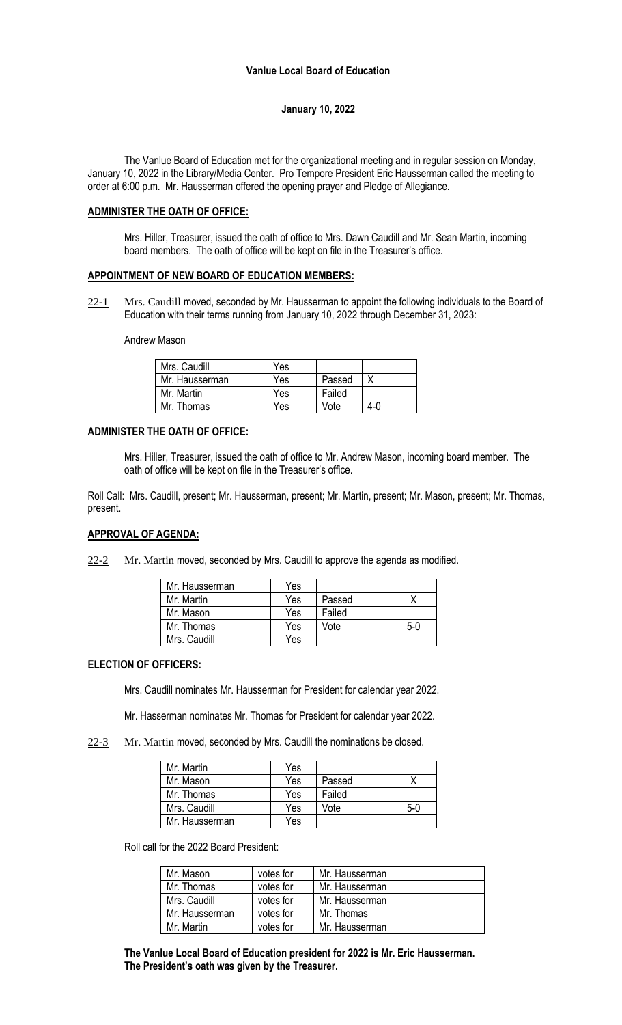#### **January 10, 2022**

The Vanlue Board of Education met for the organizational meeting and in regular session on Monday, January 10, 2022 in the Library/Media Center. Pro Tempore President Eric Hausserman called the meeting to order at 6:00 p.m. Mr. Hausserman offered the opening prayer and Pledge of Allegiance.

#### **ADMINISTER THE OATH OF OFFICE:**

Mrs. Hiller, Treasurer, issued the oath of office to Mrs. Dawn Caudill and Mr. Sean Martin, incoming board members. The oath of office will be kept on file in the Treasurer's office.

#### **APPOINTMENT OF NEW BOARD OF EDUCATION MEMBERS:**

22-1 Mrs. Caudill moved, seconded by Mr. Hausserman to appoint the following individuals to the Board of Education with their terms running from January 10, 2022 through December 31, 2023:

#### Andrew Mason

| Mrs. Caudill   | Yes |        |     |
|----------------|-----|--------|-----|
| Mr. Hausserman | Yes | Passed |     |
| Mr. Martin     | Yes | Failed |     |
| Mr. Thomas     | Yes | Vote   | 4-0 |

#### **ADMINISTER THE OATH OF OFFICE:**

Mrs. Hiller, Treasurer, issued the oath of office to Mr. Andrew Mason, incoming board member. The oath of office will be kept on file in the Treasurer's office.

Roll Call: Mrs. Caudill, present; Mr. Hausserman, present; Mr. Martin, present; Mr. Mason, present; Mr. Thomas, present.

#### **APPROVAL OF AGENDA:**

 $22-2$  Mr. Martin moved, seconded by Mrs. Caudill to approve the agenda as modified.

| Mr. Hausserman | Yes |        |       |
|----------------|-----|--------|-------|
| Mr. Martin     | Yes | Passed |       |
| Mr. Mason      | Yes | Failed |       |
| Mr. Thomas     | Yes | Vote   | $5-0$ |
| Mrs. Caudill   | Yes |        |       |

#### **ELECTION OF OFFICERS:**

Mrs. Caudill nominates Mr. Hausserman for President for calendar year 2022.

Mr. Hasserman nominates Mr. Thomas for President for calendar year 2022.

22-3 Mr. Martin moved, seconded by Mrs. Caudill the nominations be closed.

| Mr. Martin     | Yes |        |       |
|----------------|-----|--------|-------|
| Mr. Mason      | Yes | Passed |       |
| Mr. Thomas     | Yes | Failed |       |
| Mrs. Caudill   | Yes | Vote   | $5-0$ |
| Mr. Hausserman | Yes |        |       |

Roll call for the 2022 Board President:

| Mr. Mason      | votes for | Mr. Hausserman |
|----------------|-----------|----------------|
| Mr. Thomas     | votes for | Mr. Hausserman |
| Mrs. Caudill   | votes for | Mr. Hausserman |
| Mr. Hausserman | votes for | Mr. Thomas     |
| Mr. Martin     | votes for | Mr. Hausserman |

**The Vanlue Local Board of Education president for 2022 is Mr. Eric Hausserman. The President's oath was given by the Treasurer.**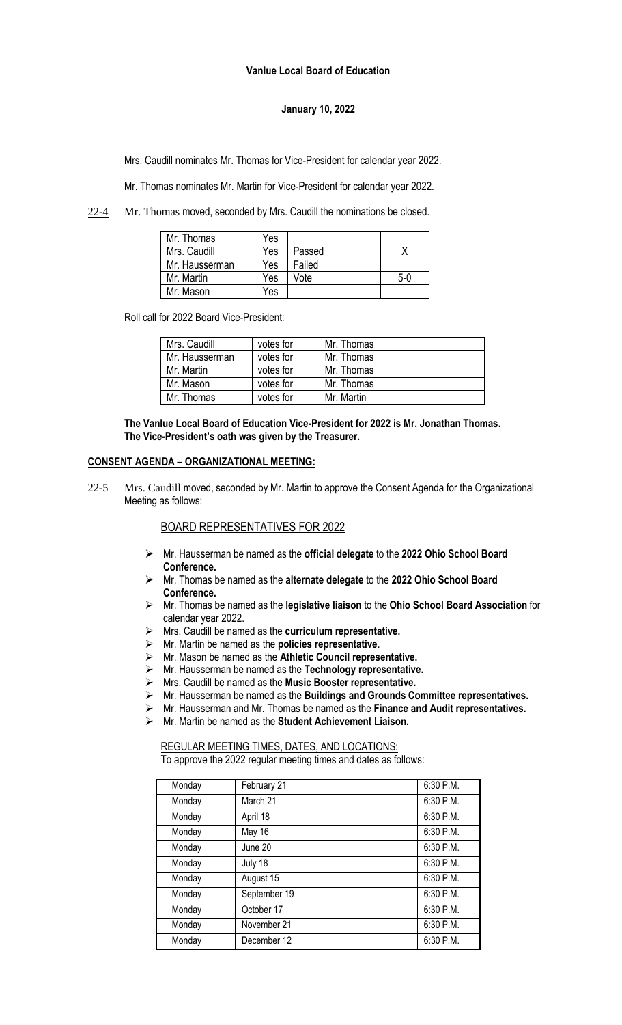### **Vanlue Local Board of Education**

# **January 10, 2022**

Mrs. Caudill nominates Mr. Thomas for Vice-President for calendar year 2022.

Mr. Thomas nominates Mr. Martin for Vice-President for calendar year 2022.

22-4 Mr. Thomas moved, seconded by Mrs. Caudill the nominations be closed.

| Mr. Thomas     | Yes |        |       |
|----------------|-----|--------|-------|
| Mrs. Caudill   | Yes | Passed |       |
| Mr. Hausserman | Yes | Failed |       |
| Mr. Martin     | Yes | Vote   | $5-0$ |
| Mr. Mason      | Yes |        |       |

Roll call for 2022 Board Vice-President:

| Mrs. Caudill   | votes for | Mr. Thomas |
|----------------|-----------|------------|
| Mr. Hausserman | votes for | Mr. Thomas |
| Mr. Martin     | votes for | Mr. Thomas |
| Mr. Mason      | votes for | Mr. Thomas |
| Mr. Thomas     | votes for | Mr. Martin |

**The Vanlue Local Board of Education Vice-President for 2022 is Mr. Jonathan Thomas. The Vice-President's oath was given by the Treasurer.**

#### **CONSENT AGENDA – ORGANIZATIONAL MEETING:**

22-5 Mrs. Caudill moved, seconded by Mr. Martin to approve the Consent Agenda for the Organizational Meeting as follows:

# BOARD REPRESENTATIVES FOR 2022

- ➢ Mr. Hausserman be named as the **official delegate** to the **2022 Ohio School Board Conference.**
- ➢ Mr. Thomas be named as the **alternate delegate** to the **2022 Ohio School Board Conference.**
- ➢ Mr. Thomas be named as the **legislative liaison** to the **Ohio School Board Association** for calendar year 2022.
- ➢ Mrs. Caudill be named as the **curriculum representative.**
- ➢ Mr. Martin be named as the **policies representative**.
- ➢ Mr. Mason be named as the **Athletic Council representative.**
- ➢ Mr. Hausserman be named as the **Technology representative.**
- ➢ Mrs. Caudill be named as the **Music Booster representative.**
- ➢ Mr. Hausserman be named as the **Buildings and Grounds Committee representatives.**
- ➢ Mr. Hausserman and Mr. Thomas be named as the **Finance and Audit representatives.**
- ➢ Mr. Martin be named as the **Student Achievement Liaison.**

# REGULAR MEETING TIMES, DATES, AND LOCATIONS:

To approve the 2022 regular meeting times and dates as follows:

| Monday | February 21  | 6:30 P.M. |
|--------|--------------|-----------|
| Monday | March 21     | 6:30 P.M. |
| Monday | April 18     | 6:30 P.M. |
| Monday | May 16       | 6:30 P.M. |
| Monday | June 20      | 6:30 P.M. |
| Monday | July 18      | 6:30 P.M. |
| Monday | August 15    | 6:30 P.M. |
| Monday | September 19 | 6:30 P.M. |
| Monday | October 17   | 6:30 P.M. |
| Monday | November 21  | 6:30 P.M. |
| Monday | December 12  | 6:30 P.M. |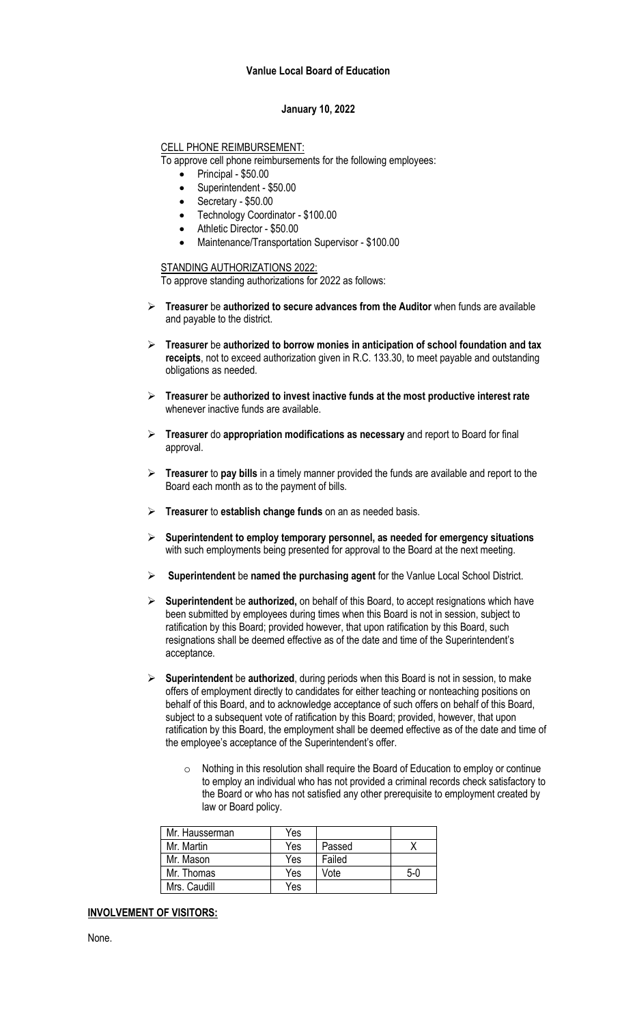#### **Vanlue Local Board of Education**

## **January 10, 2022**

# CELL PHONE REIMBURSEMENT:

To approve cell phone reimbursements for the following employees:

- Principal \$50.00
- Superintendent \$50.00
- Secretary \$50.00
- Technology Coordinator \$100.00
- Athletic Director \$50.00
- Maintenance/Transportation Supervisor \$100.00

# STANDING AUTHORIZATIONS 2022:

To approve standing authorizations for 2022 as follows:

- ➢ **Treasurer** be **authorized to secure advances from the Auditor** when funds are available and payable to the district.
- ➢ **Treasurer** be **authorized to borrow monies in anticipation of school foundation and tax receipts**, not to exceed authorization given in R.C. 133.30, to meet payable and outstanding obligations as needed.
- ➢ **Treasurer** be **authorized to invest inactive funds at the most productive interest rate** whenever inactive funds are available.
- ➢ **Treasurer** do **appropriation modifications as necessary** and report to Board for final approval.
- ➢ **Treasurer** to **pay bills** in a timely manner provided the funds are available and report to the Board each month as to the payment of bills.
- ➢ **Treasurer** to **establish change funds** on an as needed basis.
- ➢ **Superintendent to employ temporary personnel, as needed for emergency situations** with such employments being presented for approval to the Board at the next meeting.
- ➢ **Superintendent** be **named the purchasing agent** for the Vanlue Local School District.
- ➢ **Superintendent** be **authorized,** on behalf of this Board, to accept resignations which have been submitted by employees during times when this Board is not in session, subject to ratification by this Board; provided however, that upon ratification by this Board, such resignations shall be deemed effective as of the date and time of the Superintendent's acceptance.
- ➢ **Superintendent** be **authorized**, during periods when this Board is not in session, to make offers of employment directly to candidates for either teaching or nonteaching positions on behalf of this Board, and to acknowledge acceptance of such offers on behalf of this Board, subject to a subsequent vote of ratification by this Board; provided, however, that upon ratification by this Board, the employment shall be deemed effective as of the date and time of the employee's acceptance of the Superintendent's offer.
	- $\circ$  Nothing in this resolution shall require the Board of Education to employ or continue to employ an individual who has not provided a criminal records check satisfactory to the Board or who has not satisfied any other prerequisite to employment created by law or Board policy.

| Mr. Hausserman | Yes |        |     |
|----------------|-----|--------|-----|
| Mr. Martin     | Yes | Passed |     |
| Mr. Mason      | Yes | Failed |     |
| Mr. Thomas     | Yes | Vote   | 5-0 |
| Mrs. Caudill   | Yes |        |     |

# **INVOLVEMENT OF VISITORS:**

None.